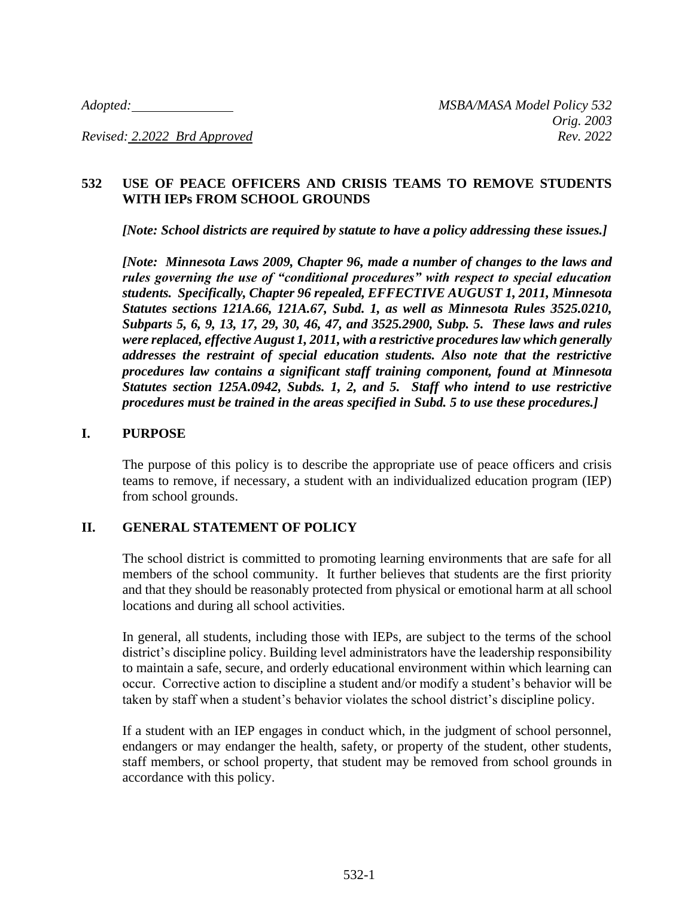*Revised: 2.2022 Brd Approved Rev. 2022*

# **532 USE OF PEACE OFFICERS AND CRISIS TEAMS TO REMOVE STUDENTS WITH IEPs FROM SCHOOL GROUNDS**

*[Note: School districts are required by statute to have a policy addressing these issues.]*

*[Note: Minnesota Laws 2009, Chapter 96, made a number of changes to the laws and rules governing the use of "conditional procedures" with respect to special education students. Specifically, Chapter 96 repealed, EFFECTIVE AUGUST 1, 2011, Minnesota Statutes sections 121A.66, 121A.67, Subd. 1, as well as Minnesota Rules 3525.0210, Subparts 5, 6, 9, 13, 17, 29, 30, 46, 47, and 3525.2900, Subp. 5. These laws and rules were replaced, effective August 1, 2011, with a restrictive procedures law which generally addresses the restraint of special education students. Also note that the restrictive procedures law contains a significant staff training component, found at Minnesota Statutes section 125A.0942, Subds. 1, 2, and 5. Staff who intend to use restrictive procedures must be trained in the areas specified in Subd. 5 to use these procedures.]*

### **I. PURPOSE**

The purpose of this policy is to describe the appropriate use of peace officers and crisis teams to remove, if necessary, a student with an individualized education program (IEP) from school grounds.

### **II. GENERAL STATEMENT OF POLICY**

The school district is committed to promoting learning environments that are safe for all members of the school community. It further believes that students are the first priority and that they should be reasonably protected from physical or emotional harm at all school locations and during all school activities.

In general, all students, including those with IEPs, are subject to the terms of the school district's discipline policy. Building level administrators have the leadership responsibility to maintain a safe, secure, and orderly educational environment within which learning can occur. Corrective action to discipline a student and/or modify a student's behavior will be taken by staff when a student's behavior violates the school district's discipline policy.

If a student with an IEP engages in conduct which, in the judgment of school personnel, endangers or may endanger the health, safety, or property of the student, other students, staff members, or school property, that student may be removed from school grounds in accordance with this policy.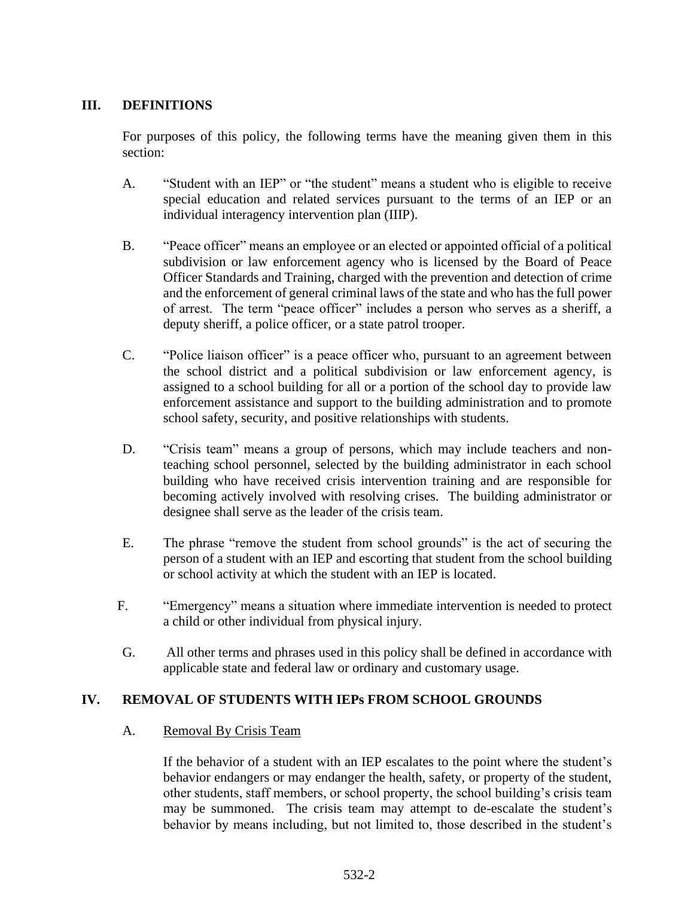# **III. DEFINITIONS**

For purposes of this policy, the following terms have the meaning given them in this section:

- A. "Student with an IEP" or "the student" means a student who is eligible to receive special education and related services pursuant to the terms of an IEP or an individual interagency intervention plan (IIIP).
- B. "Peace officer" means an employee or an elected or appointed official of a political subdivision or law enforcement agency who is licensed by the Board of Peace Officer Standards and Training, charged with the prevention and detection of crime and the enforcement of general criminal laws of the state and who has the full power of arrest. The term "peace officer" includes a person who serves as a sheriff, a deputy sheriff, a police officer, or a state patrol trooper.
- C. "Police liaison officer" is a peace officer who, pursuant to an agreement between the school district and a political subdivision or law enforcement agency, is assigned to a school building for all or a portion of the school day to provide law enforcement assistance and support to the building administration and to promote school safety, security, and positive relationships with students.
- D. "Crisis team" means a group of persons, which may include teachers and nonteaching school personnel, selected by the building administrator in each school building who have received crisis intervention training and are responsible for becoming actively involved with resolving crises. The building administrator or designee shall serve as the leader of the crisis team.
- E. The phrase "remove the student from school grounds" is the act of securing the person of a student with an IEP and escorting that student from the school building or school activity at which the student with an IEP is located.
- F. "Emergency" means a situation where immediate intervention is needed to protect a child or other individual from physical injury.
- G. All other terms and phrases used in this policy shall be defined in accordance with applicable state and federal law or ordinary and customary usage.

# **IV. REMOVAL OF STUDENTS WITH IEPs FROM SCHOOL GROUNDS**

### A. Removal By Crisis Team

If the behavior of a student with an IEP escalates to the point where the student's behavior endangers or may endanger the health, safety, or property of the student, other students, staff members, or school property, the school building's crisis team may be summoned. The crisis team may attempt to de-escalate the student's behavior by means including, but not limited to, those described in the student's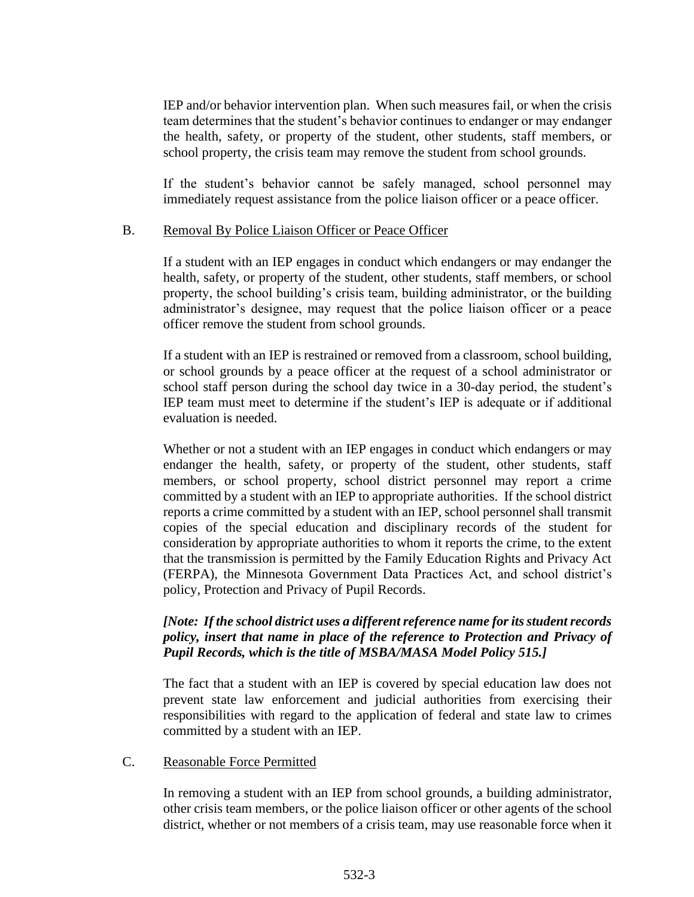IEP and/or behavior intervention plan. When such measures fail, or when the crisis team determines that the student's behavior continues to endanger or may endanger the health, safety, or property of the student, other students, staff members, or school property, the crisis team may remove the student from school grounds.

If the student's behavior cannot be safely managed, school personnel may immediately request assistance from the police liaison officer or a peace officer.

### B. Removal By Police Liaison Officer or Peace Officer

If a student with an IEP engages in conduct which endangers or may endanger the health, safety, or property of the student, other students, staff members, or school property, the school building's crisis team, building administrator, or the building administrator's designee, may request that the police liaison officer or a peace officer remove the student from school grounds.

If a student with an IEP is restrained or removed from a classroom, school building, or school grounds by a peace officer at the request of a school administrator or school staff person during the school day twice in a 30-day period, the student's IEP team must meet to determine if the student's IEP is adequate or if additional evaluation is needed.

Whether or not a student with an IEP engages in conduct which endangers or may endanger the health, safety, or property of the student, other students, staff members, or school property, school district personnel may report a crime committed by a student with an IEP to appropriate authorities. If the school district reports a crime committed by a student with an IEP, school personnel shall transmit copies of the special education and disciplinary records of the student for consideration by appropriate authorities to whom it reports the crime, to the extent that the transmission is permitted by the Family Education Rights and Privacy Act (FERPA), the Minnesota Government Data Practices Act, and school district's policy, Protection and Privacy of Pupil Records.

## *[Note: If the school district uses a different reference name for its student records policy, insert that name in place of the reference to Protection and Privacy of Pupil Records, which is the title of MSBA/MASA Model Policy 515.]*

The fact that a student with an IEP is covered by special education law does not prevent state law enforcement and judicial authorities from exercising their responsibilities with regard to the application of federal and state law to crimes committed by a student with an IEP.

### C. Reasonable Force Permitted

In removing a student with an IEP from school grounds, a building administrator, other crisis team members, or the police liaison officer or other agents of the school district, whether or not members of a crisis team, may use reasonable force when it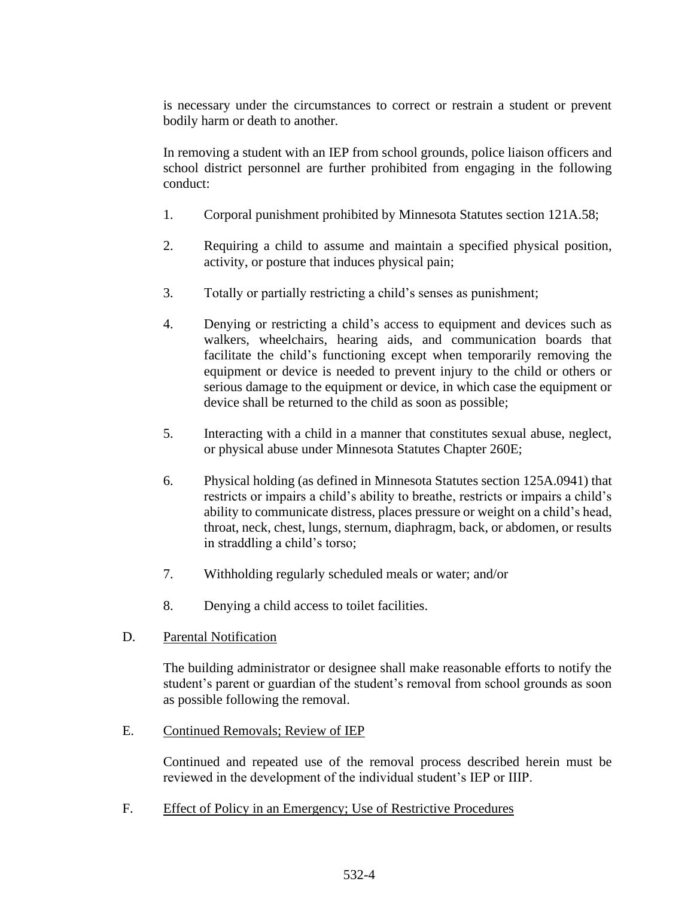is necessary under the circumstances to correct or restrain a student or prevent bodily harm or death to another.

In removing a student with an IEP from school grounds, police liaison officers and school district personnel are further prohibited from engaging in the following conduct:

- 1. Corporal punishment prohibited by Minnesota Statutes section 121A.58;
- 2. Requiring a child to assume and maintain a specified physical position, activity, or posture that induces physical pain;
- 3. Totally or partially restricting a child's senses as punishment;
- 4. Denying or restricting a child's access to equipment and devices such as walkers, wheelchairs, hearing aids, and communication boards that facilitate the child's functioning except when temporarily removing the equipment or device is needed to prevent injury to the child or others or serious damage to the equipment or device, in which case the equipment or device shall be returned to the child as soon as possible;
- 5. Interacting with a child in a manner that constitutes sexual abuse, neglect, or physical abuse under Minnesota Statutes Chapter 260E;
- 6. Physical holding (as defined in Minnesota Statutes section 125A.0941) that restricts or impairs a child's ability to breathe, restricts or impairs a child's ability to communicate distress, places pressure or weight on a child's head, throat, neck, chest, lungs, sternum, diaphragm, back, or abdomen, or results in straddling a child's torso;
- 7. Withholding regularly scheduled meals or water; and/or
- 8. Denying a child access to toilet facilities.
- D. Parental Notification

The building administrator or designee shall make reasonable efforts to notify the student's parent or guardian of the student's removal from school grounds as soon as possible following the removal.

E. Continued Removals; Review of IEP

Continued and repeated use of the removal process described herein must be reviewed in the development of the individual student's IEP or IIIP.

F. Effect of Policy in an Emergency; Use of Restrictive Procedures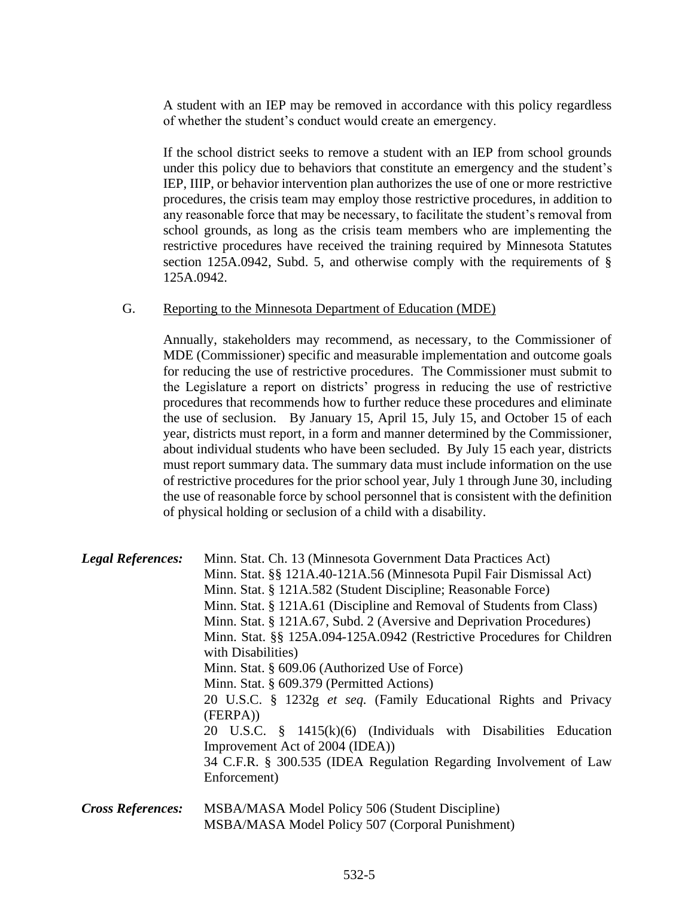A student with an IEP may be removed in accordance with this policy regardless of whether the student's conduct would create an emergency.

If the school district seeks to remove a student with an IEP from school grounds under this policy due to behaviors that constitute an emergency and the student's IEP, IIIP, or behavior intervention plan authorizes the use of one or more restrictive procedures, the crisis team may employ those restrictive procedures, in addition to any reasonable force that may be necessary, to facilitate the student's removal from school grounds, as long as the crisis team members who are implementing the restrictive procedures have received the training required by Minnesota Statutes section 125A.0942, Subd. 5, and otherwise comply with the requirements of § 125A.0942.

#### G. Reporting to the Minnesota Department of Education (MDE)

Annually, stakeholders may recommend, as necessary, to the Commissioner of MDE (Commissioner) specific and measurable implementation and outcome goals for reducing the use of restrictive procedures. The Commissioner must submit to the Legislature a report on districts' progress in reducing the use of restrictive procedures that recommends how to further reduce these procedures and eliminate the use of seclusion. By January 15, April 15, July 15, and October 15 of each year, districts must report, in a form and manner determined by the Commissioner, about individual students who have been secluded. By July 15 each year, districts must report summary data. The summary data must include information on the use of restrictive procedures for the prior school year, July 1 through June 30, including the use of reasonable force by school personnel that is consistent with the definition of physical holding or seclusion of a child with a disability.

| <b>Legal References:</b> | Minn. Stat. Ch. 13 (Minnesota Government Data Practices Act)<br>Minn. Stat. §§ 121A.40-121A.56 (Minnesota Pupil Fair Dismissal Act)<br>Minn. Stat. § 121A.582 (Student Discipline; Reasonable Force)<br>Minn. Stat. § 121A.61 (Discipline and Removal of Students from Class)<br>Minn. Stat. § 121A.67, Subd. 2 (Aversive and Deprivation Procedures) |
|--------------------------|-------------------------------------------------------------------------------------------------------------------------------------------------------------------------------------------------------------------------------------------------------------------------------------------------------------------------------------------------------|
|                          | Minn. Stat. §§ 125A.094-125A.0942 (Restrictive Procedures for Children<br>with Disabilities)<br>Minn. Stat. § 609.06 (Authorized Use of Force)<br>Minn. Stat. § 609.379 (Permitted Actions)                                                                                                                                                           |
|                          | 20 U.S.C. § 1232g et seq. (Family Educational Rights and Privacy<br>(FERPA))<br>20 U.S.C. § 1415(k)(6) (Individuals with Disabilities Education<br>Improvement Act of 2004 (IDEA))<br>34 C.F.R. § 300.535 (IDEA Regulation Regarding Involvement of Law<br>Enforcement)                                                                               |
| <b>Cross References:</b> | MSBA/MASA Model Policy 506 (Student Discipline)                                                                                                                                                                                                                                                                                                       |

MSBA/MASA Model Policy 507 (Corporal Punishment)